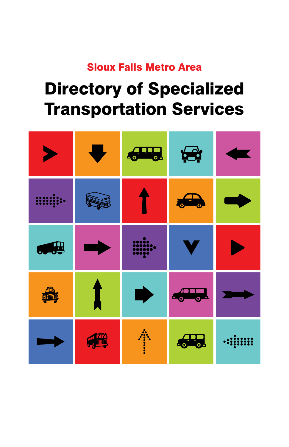### Sioux Falls Metro Area

# Directory of Specialized Transportation Services

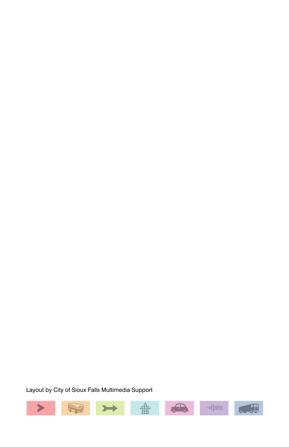Layout by City of Sioux Falls Multimedia Support

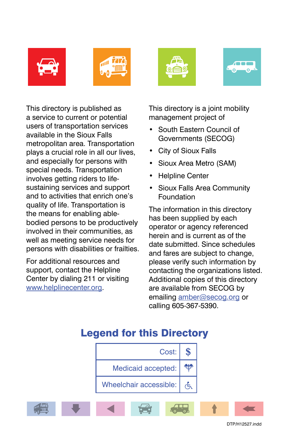







This directory is published as a service to current or potential users of transportation services available in the Sioux Falls metropolitan area. Transportation plays a crucial role in all our lives, and especially for persons with special needs. Transportation involves getting riders to lifesustaining services and support and to activities that enrich one's quality of life. Transportation is the means for enabling ablebodied persons to be productively involved in their communities, as well as meeting service needs for persons with disabilities or frailties.

For additional resources and support, contact the Helpline Center by dialing 211 or visiting www.helplinecenter.org.

This directory is a joint mobility management project of

- • South Eastern Council of Governments (SECOG)
- City of Sioux Falls
- Sioux Area Metro (SAM)
- **Helpline Center**
- Sioux Falls Area Community Foundation

The information in this directory has been supplied by each operator or agency referenced herein and is current as of the date submitted. Since schedules and fares are subject to change, please verify such information by contacting the organizations listed. Additional copies of this directory are available from SECOG by emailing amber@secog.org or calling 605-367-5390.

# Cost: **\$** RE Medicaid accepted: A) | Wheelchair accessible: أ

### Legend for this Directory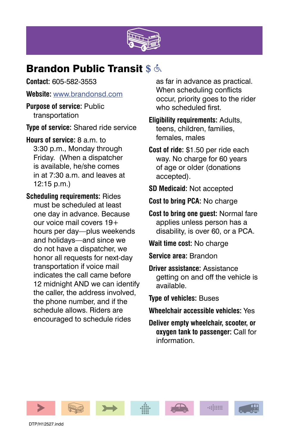

### **Brandon Public Transit \$ &**

**Contact:** 605-582-3553

**Website:** www.brandonsd.com

**Purpose of service:** Public transportation

**Type of service:** Shared ride service

**Hours of service:** 8 a.m. to 3:30 p.m., Monday through Friday. (When a dispatcher is available, he/she comes in at 7:30 a.m. and leaves at 12:15 p.m.)

**Scheduling requirements:** Rides must be scheduled at least one day in advance. Because our voice mail covers 19+ hours per day—plus weekends and holidays—and since we do not have a dispatcher, we honor all requests for next-day transportation if voice mail indicates the call came before 12 midnight AND we can identify the caller, the address involved, the phone number, and if the schedule allows. Riders are encouraged to schedule rides

as far in advance as practical. When scheduling conflicts occur, priority goes to the rider who scheduled first.

**Eligibility requirements:** Adults, teens, children, families, females, males

**Cost of ride:** \$1.50 per ride each way. No charge for 60 years of age or older (donations accepted).

- **SD Medicaid:** Not accepted
- **Cost to bring PCA:** No charge
- **Cost to bring one guest:** Normal fare applies unless person has a disability, is over 60, or a PCA.

**Wait time cost:** No charge

**Service area:** Brandon

**Driver assistance:** Assistance getting on and off the vehicle is available.

**Type of vehicles:** Buses

- **Wheelchair accessible vehicles:** Yes
- **Deliver empty wheelchair, scooter, or oxygen tank to passenger:** Call for information.











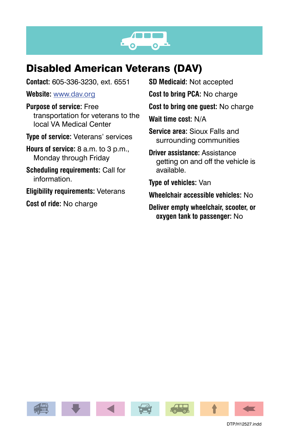

### Disabled American Veterans (DAV)

**Contact:** 605-336-3230, ext. 6551

**Website:** www.dav.org

**Purpose of service:** Free transportation for veterans to the local VA Medical Center

**Type of service:** Veterans' services

**Hours of service:** 8 a.m. to 3 p.m., Monday through Friday

**Scheduling requirements:** Call for information.

**Eligibility requirements:** Veterans

**Cost of ride:** No charge

**SD Medicaid:** Not accepted

**Cost to bring PCA:** No charge

**Cost to bring one guest:** No charge

**Wait time cost:** N/A

**Service area:** Sioux Falls and surrounding communities

**Driver assistance:** Assistance getting on and off the vehicle is available.

**Type of vehicles:** Van

**Wheelchair accessible vehicles:** No

**Deliver empty wheelchair, scooter, or oxygen tank to passenger:** No

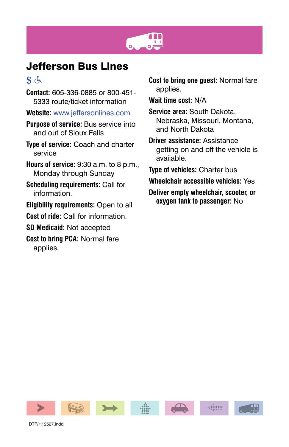

### Jefferson Bus Lines

### $\mathbf{\hat{s}}$   $\in$

- **Contact:** 605-336-0885 or 800-451- 5333 route/ticket information
- **Website:** www.jeffersonlines.com
- **Purpose of service:** Bus service into and out of Sioux Falls
- **Type of service:** Coach and charter service
- **Hours of service:** 9:30 a.m. to 8 p.m., Monday through Sunday
- **Scheduling requirements:** Call for information.
- **Eligibility requirements:** Open to all
- **Cost of ride:** Call for information.
- **SD Medicaid:** Not accepted
- **Cost to bring PCA:** Normal fare applies.
- **Cost to bring one guest:** Normal fare applies.
- **Wait time cost:** N/A
- **Service area:** South Dakota, Nebraska, Missouri, Montana, and North Dakota
- **Driver assistance:** Assistance getting on and off the vehicle is available.
- **Type of vehicles:** Charter bus
- **Wheelchair accessible vehicles:** Yes
- **Deliver empty wheelchair, scooter, or oxygen tank to passenger:** No

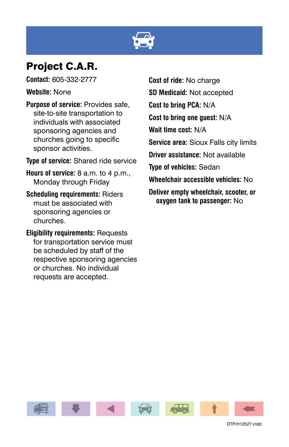

### Project C.A.R.

**Contact:** 605-332-2777

**Website:** None

**Purpose of service:** Provides safe, site-to-site transportation to individuals with associated sponsoring agencies and churches going to specific sponsor activities.

**Type of service:** Shared ride service

**Hours of service:** 8 a.m. to 4 p.m., Monday through Friday

**Scheduling requirements:** Riders must be associated with sponsoring agencies or churches.

**Eligibility requirements:** Requests for transportation service must be scheduled by staff of the respective sponsoring agencies or churches. No individual requests are accepted.

**Cost of ride:** No charge **SD Medicaid:** Not accepted **Cost to bring PCA:** N/A **Cost to bring one guest:** N/A **Wait time cost:** N/A **Service area:** Sioux Falls city limits **Driver assistance:** Not available **Type of vehicles:** Sedan **Wheelchair accessible vehicles:** No **Deliver empty wheelchair, scooter, or** 

**oxygen tank to passenger:** No

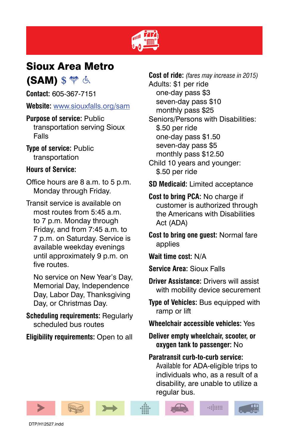

### Sioux Area Metro

(SAM) \$ <sup>\*\*</sup> 点

**Contact:** 605-367-7151

**Website:** www.siouxfalls.org/sam

**Purpose of service:** Public transportation serving Sioux Falls

**Type of service:** Public transportation

### **Hours of Service:**

Office hours are 8 a.m. to 5 p.m. Monday through Friday.

Transit service is available on most routes from 5:45 a.m. to 7 p.m. Monday through Friday, and from 7:45 a.m. to 7 p.m. on Saturday. Service is available weekday evenings until approximately 9 p.m. on five routes.

 No service on New Year's Day, Memorial Day, Independence Day, Labor Day, Thanksgiving Day, or Christmas Day.

**Scheduling requirements:** Regularly scheduled bus routes

**Eligibility requirements:** Open to all

**Cost of ride:** *(fares may increase in 2015)* Adults: \$1 per ride one-day pass \$3 seven-day pass \$10 monthly pass \$25 Seniors/Persons with Disabilities: \$.50 per ride one-day pass \$1.50 seven-day pass \$5 monthly pass \$12.50 Child 10 years and younger: \$.50 per ride

- **SD Medicaid:** Limited acceptance
- **Cost to bring PCA:** No charge if customer is authorized through the Americans with Disabilities Act (ADA)

**Cost to bring one guest:** Normal fare applies

**Wait time cost:** N/A

- **Service Area:** Sioux Falls
- **Driver Assistance:** Drivers will assist with mobility device securement
- **Type of Vehicles:** Bus equipped with ramp or lift
- **Wheelchair accessible vehicles:** Yes

**Deliver empty wheelchair, scooter, or oxygen tank to passenger:** No

**Paratransit curb-to-curb service:**  Available for ADA-eligible trips to individuals who, as a result of a disability, are unable to utilize a regular bus.

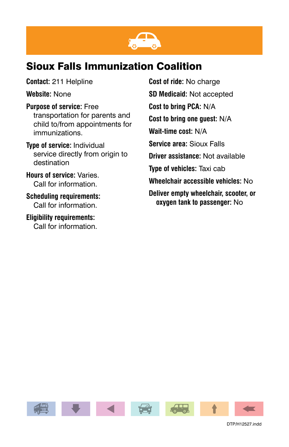

### Sioux Falls Immunization Coalition

**Contact:** 211 Helpline

**Website:** None

**Purpose of service:** Free transportation for parents and child to/from appointments for immunizations.

**Type of service:** Individual service directly from origin to destination

**Hours of service:** Varies. Call for information.

**Scheduling requirements:** Call for information.

**Eligibility requirements:** Call for information. **Cost of ride:** No charge **SD Medicaid:** Not accepted **Cost to bring PCA:** N/A **Cost to bring one guest:** N/A **Wait-time cost:** N/A **Service area:** Sioux Falls **Driver assistance:** Not available **Type of vehicles:** Taxi cab **Wheelchair accessible vehicles:** No **Deliver empty wheelchair, scooter, or oxygen tank to passenger:** No

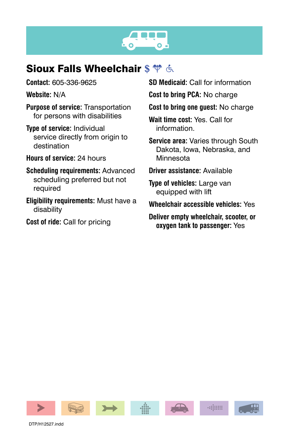# $\bullet$ .

### **Sioux Falls Wheelchair \$**  $\phi$  **&**

**Contact:** 605-336-9625

**Website:** N/A

**Purpose of service:** Transportation for persons with disabilities

**Type of service:** Individual service directly from origin to destination

**Hours of service:** 24 hours

**Scheduling requirements:** Advanced scheduling preferred but not required

**Eligibility requirements:** Must have a disability

**Cost of ride:** Call for pricing

**SD Medicaid:** Call for information

**Cost to bring PCA:** No charge

**Cost to bring one guest:** No charge

**Wait time cost:** Yes. Call for information.

**Service area:** Varies through South Dakota, Iowa, Nebraska, and Minnesota

**Driver assistance:** Available

**Type of vehicles:** Large van equipped with lift

**Wheelchair accessible vehicles:** Yes

**Deliver empty wheelchair, scooter, or oxygen tank to passenger:** Yes

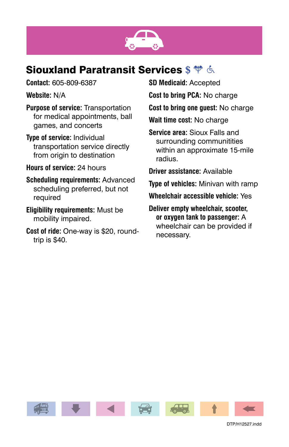

### **Siouxland Paratransit Services \$**  $\%$  **&**

**Contact:** 605-809-6387

**Website:** N/A

- **Purpose of service:** Transportation for medical appointments, ball games, and concerts
- **Type of service:** Individual transportation service directly from origin to destination

**Hours of service:** 24 hours

**Scheduling requirements:** Advanced scheduling preferred, but not required

**Eligibility requirements:** Must be mobility impaired.

**Cost of ride:** One-way is \$20, roundtrip is \$40.

**SD Medicaid:** Accepted

**Cost to bring PCA:** No charge

**Cost to bring one guest:** No charge

**Wait time cost:** No charge

**Service area:** Sioux Falls and surrounding communitities within an approximate 15-mile radius.

**Driver assistance:** Available

**Type of vehicles:** Minivan with ramp

**Wheelchair accessible vehicle:** Yes

**Deliver empty wheelchair, scooter, or oxygen tank to passenger:** A wheelchair can be provided if necessary.

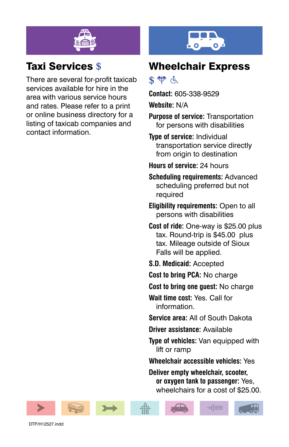

### Taxi Services **\$**

There are several for-profit taxicab services available for hire in the area with various service hours and rates. Please refer to a print or online business directory for a listing of taxicab companies and contact information.

### Wheelchair Express

### **\$** 带 占

**Contact:** 605-338-9529

**Website:** N/A

**Purpose of service:** Transportation for persons with disabilities

**Type of service:** Individual transportation service directly from origin to destination

- **Hours of service:** 24 hours
- **Scheduling requirements:** Advanced scheduling preferred but not required

**Eligibility requirements:** Open to all persons with disabilities

**Cost of ride:** One-way is \$25.00 plus tax. Round-trip is \$45.00 plus tax. Mileage outside of Sioux Falls will be applied.

- **S.D. Medicaid:** Accepted
- **Cost to bring PCA:** No charge

**Cost to bring one guest:** No charge

**Wait time cost:** Yes. Call for information.

**Service area:** All of South Dakota

**Driver assistance:** Available

**Type of vehicles:** Van equipped with lift or ramp

**Wheelchair accessible vehicles:** Yes

**Deliver empty wheelchair, scooter, or oxygen tank to passenger:** Yes, wheelchairs for a cost of \$25.00.









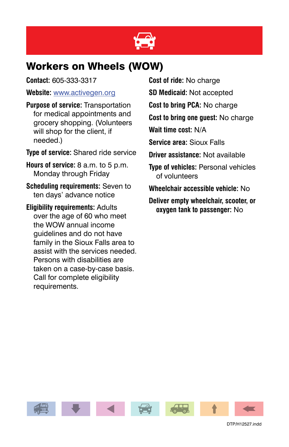

### Workers on Wheels (WOW)

**Contact:** 605-333-3317

### **Website:** www.activegen.org

**Purpose of service:** Transportation for medical appointments and grocery shopping. (Volunteers will shop for the client, if needed.)

**Type of service:** Shared ride service

**Hours of service:** 8 a.m. to 5 p.m. Monday through Friday

**Scheduling requirements:** Seven to ten days' advance notice

**Eligibility requirements:** Adults over the age of 60 who meet the WOW annual income guidelines and do not have family in the Sioux Falls area to assist with the services needed. Persons with disabilities are taken on a case-by-case basis. Call for complete eligibility requirements.

**Cost of ride:** No charge

**SD Medicaid:** Not accepted

**Cost to bring PCA:** No charge

**Cost to bring one guest:** No charge

**Wait time cost:** N/A

**Service area:** Sioux Falls

**Driver assistance:** Not available

**Type of vehicles:** Personal vehicles of volunteers

**Wheelchair accessible vehicle:** No

**Deliver empty wheelchair, scooter, or oxygen tank to passenger:** No

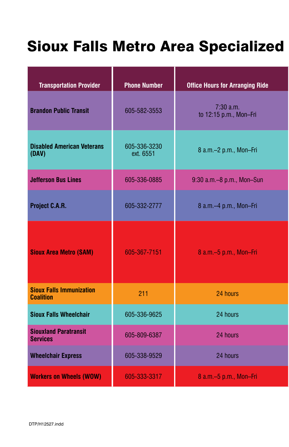# Sioux Falls Metro Area Specialized

| <b>Transportation Provider</b>                      | <b>Phone Number</b>       | <b>Office Hours for Arranging Ride</b> |
|-----------------------------------------------------|---------------------------|----------------------------------------|
| <b>Brandon Public Transit</b>                       | 605-582-3553              | 7:30 a.m.<br>to 12:15 p.m., Mon-Fri    |
| <b>Disabled American Veterans</b><br>(DAV)          | 605-336-3230<br>ext. 6551 | 8 a.m.-2 p.m., Mon-Fri                 |
| <b>Jefferson Bus Lines</b>                          | 605-336-0885              | 9:30 a.m. - 8 p.m., Mon-Sun            |
| Project C.A.R.                                      | 605-332-2777              | 8 a.m.-4 p.m., Mon-Fri                 |
| <b>Sioux Area Metro (SAM)</b>                       | 605-367-7151              | 8 a.m.-5 p.m., Mon-Fri                 |
| <b>Sioux Falls Immunization</b><br><b>Coalition</b> | 211                       | 24 hours                               |
| <b>Sioux Falls Wheelchair</b>                       | 605-336-9625              | 24 hours                               |
| <b>Siouxland Paratransit</b><br><b>Services</b>     | 605-809-6387              | 24 hours                               |
| <b>Wheelchair Express</b>                           | 605-338-9529              | 24 hours                               |
| <b>Workers on Wheels (WOW)</b>                      | 605-333-3317              | 8 a.m.-5 p.m., Mon-Fri                 |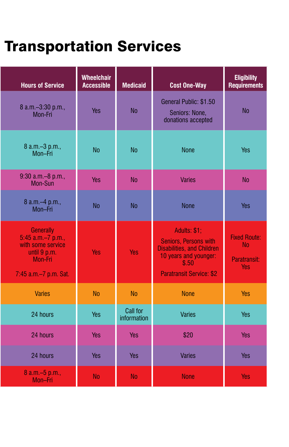# **Transportation Services**

| <b>Hours of Service</b>                                                                                 | Wheelchair<br><b>Accessible</b> | <b>Medicaid</b>         | <b>Cost One-Way</b>                                                                                                                             | <b>Eligibility</b><br><b>Requirements</b>               |
|---------------------------------------------------------------------------------------------------------|---------------------------------|-------------------------|-------------------------------------------------------------------------------------------------------------------------------------------------|---------------------------------------------------------|
| 8 a.m.-3:30 p.m.,<br>Mon-Fri                                                                            | Yes                             | <b>No</b>               | General Public: \$1.50<br>Seniors: None,<br>donations accepted                                                                                  | <b>No</b>                                               |
| 8 a.m. - 3 p.m.,<br>Mon-Fri                                                                             | <b>No</b>                       | No                      | None                                                                                                                                            | Yes                                                     |
| 9:30 a.m. - 8 p.m.,<br>Mon-Sun                                                                          | Yes                             | <b>No</b>               | <b>Varies</b>                                                                                                                                   | No                                                      |
| 8 a.m. - 4 p.m.,<br>Mon-Fri                                                                             | <b>No</b>                       | <b>No</b>               | None                                                                                                                                            | Yes                                                     |
| Generally<br>5:45 a.m.-7 p.m.,<br>with some service<br>until 9 p.m.<br>Mon-Fri<br>7:45 a.m.-7 p.m. Sat. | Yes                             | Yes                     | Adults: \$1;<br>Seniors, Persons with<br><b>Disabilities, and Children</b><br>10 years and younger:<br>\$.50<br><b>Paratransit Service: \$2</b> | <b>Fixed Route:</b><br><b>No</b><br>Paratransit:<br>Yes |
| <b>Varies</b>                                                                                           | No                              | No                      | <b>None</b>                                                                                                                                     | Yes                                                     |
| 24 hours                                                                                                | Yes                             | Call for<br>information | Varies                                                                                                                                          | Yes                                                     |
| 24 hours                                                                                                | Yes                             | Yes                     | \$20                                                                                                                                            | Yes                                                     |
| 24 hours                                                                                                | Yes                             | Yes                     | Varies                                                                                                                                          | Yes                                                     |
| 8 a.m. - 5 p.m.,<br>Mon-Fri                                                                             | <b>No</b>                       | <b>No</b>               | <b>None</b>                                                                                                                                     | Yes                                                     |